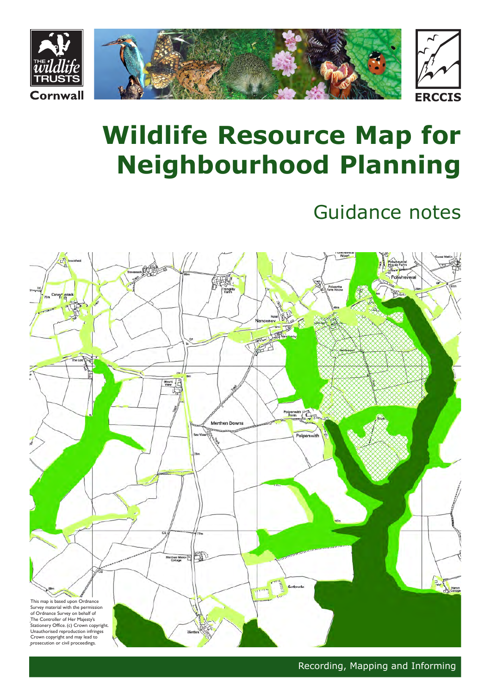

# **Wildlife Resource Map for Neighbourhood Planning**

## Guidance notes



Recording, Mapping and Informing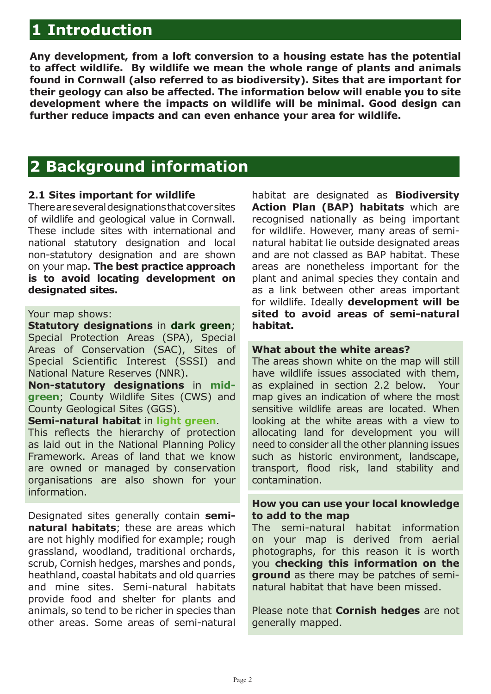## **1 Introduction**

**Any development, from a loft conversion to a housing estate has the potential to affect wildlife. By wildlife we mean the whole range of plants and animals found in Cornwall (also referred to as biodiversity). Sites that are important for their geology can also be affected. The information below will enable you to site development where the impacts on wildlife will be minimal. Good design can further reduce impacts and can even enhance your area for wildlife.**

### **2 Background information**

#### **2.1 Sites important for wildlife**

There are several designations that cover sites of wildlife and geological value in Cornwall. These include sites with international and national statutory designation and local non-statutory designation and are shown on your map. **The best practice approach is to avoid locating development on designated sites.** 

#### Your map shows:

**Statutory designations** in **dark green**; Special Protection Areas (SPA), Special Areas of Conservation (SAC), Sites of Special Scientific Interest (SSSI) and National Nature Reserves (NNR).

**Non-statutory designations** in **midgreen**; County Wildlife Sites (CWS) and County Geological Sites (GGS).

#### **Semi-natural habitat** in **light green**.

This reflects the hierarchy of protection as laid out in the National Planning Policy Framework. Areas of land that we know are owned or managed by conservation organisations are also shown for your information.

Designated sites generally contain **seminatural habitats**; these are areas which are not highly modified for example; rough grassland, woodland, traditional orchards, scrub, Cornish hedges, marshes and ponds, heathland, coastal habitats and old quarries and mine sites. Semi-natural habitats provide food and shelter for plants and animals, so tend to be richer in species than other areas. Some areas of semi-natural

habitat are designated as **Biodiversity Action Plan (BAP) habitats** which are recognised nationally as being important for wildlife. However, many areas of seminatural habitat lie outside designated areas and are not classed as BAP habitat. These areas are nonetheless important for the plant and animal species they contain and as a link between other areas important for wildlife. Ideally **development will be sited to avoid areas of semi-natural habitat.** 

#### **What about the white areas?**

The areas shown white on the map will still have wildlife issues associated with them, as explained in section 2.2 below. Your map gives an indication of where the most sensitive wildlife areas are located. When looking at the white areas with a view to allocating land for development you will need to consider all the other planning issues such as historic environment, landscape, transport, flood risk, land stability and contamination.

#### **How you can use your local knowledge to add to the map**

The semi-natural habitat information on your map is derived from aerial photographs, for this reason it is worth you **checking this information on the ground** as there may be patches of seminatural habitat that have been missed.

Please note that **Cornish hedges** are not generally mapped.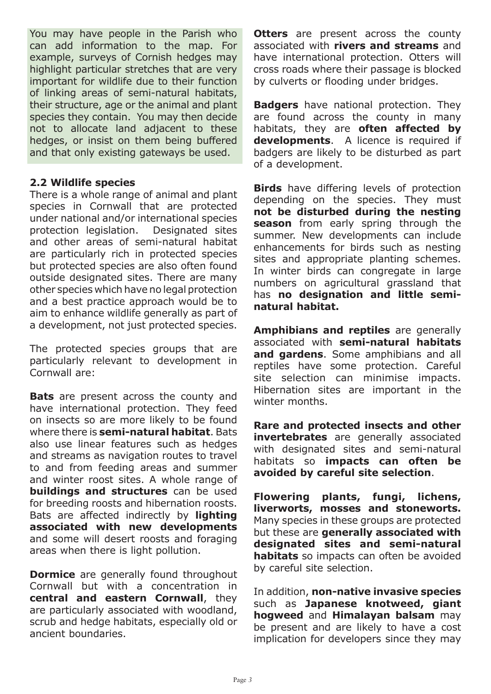You may have people in the Parish who can add information to the map. For example, surveys of Cornish hedges may highlight particular stretches that are very important for wildlife due to their function of linking areas of semi-natural habitats, their structure, age or the animal and plant species they contain. You may then decide not to allocate land adjacent to these hedges, or insist on them being buffered and that only existing gateways be used.

#### **2.2 Wildlife species**

There is a whole range of animal and plant species in Cornwall that are protected under national and/or international species protection legislation. Designated sites and other areas of semi-natural habitat are particularly rich in protected species but protected species are also often found outside designated sites. There are many other species which have no legal protection and a best practice approach would be to aim to enhance wildlife generally as part of a development, not just protected species.

The protected species groups that are particularly relevant to development in Cornwall are:

**Bats** are present across the county and have international protection. They feed on insects so are more likely to be found where there is **semi-natural habitat**. Bats also use linear features such as hedges and streams as navigation routes to travel to and from feeding areas and summer and winter roost sites. A whole range of **buildings and structures** can be used for breeding roosts and hibernation roosts. Bats are affected indirectly by **lighting associated with new developments** and some will desert roosts and foraging areas when there is light pollution.

**Dormice** are generally found throughout Cornwall but with a concentration in **central and eastern Cornwall**, they are particularly associated with woodland, scrub and hedge habitats, especially old or ancient boundaries.

**Otters** are present across the county associated with **rivers and streams** and have international protection. Otters will cross roads where their passage is blocked by culverts or flooding under bridges.

**Badgers** have national protection. They are found across the county in many habitats, they are **often affected by developments**. A licence is required if badgers are likely to be disturbed as part of a development.

**Birds** have differing levels of protection depending on the species. They must **not be disturbed during the nesting season** from early spring through the summer. New developments can include enhancements for birds such as nesting sites and appropriate planting schemes. In winter birds can congregate in large numbers on agricultural grassland that has **no designation and little seminatural habitat.**

**Amphibians and reptiles** are generally associated with **semi-natural habitats and gardens**. Some amphibians and all reptiles have some protection. Careful site selection can minimise impacts. Hibernation sites are important in the winter months.

**Rare and protected insects and other invertebrates** are generally associated with designated sites and semi-natural habitats so **impacts can often be avoided by careful site selection**.

**Flowering plants, fungi, lichens, liverworts, mosses and stoneworts.** Many species in these groups are protected but these are **generally associated with designated sites and semi-natural habitats** so impacts can often be avoided by careful site selection.

In addition, **non-native invasive species**  such as **Japanese knotweed, giant hogweed** and **Himalayan balsam** may be present and are likely to have a cost implication for developers since they may